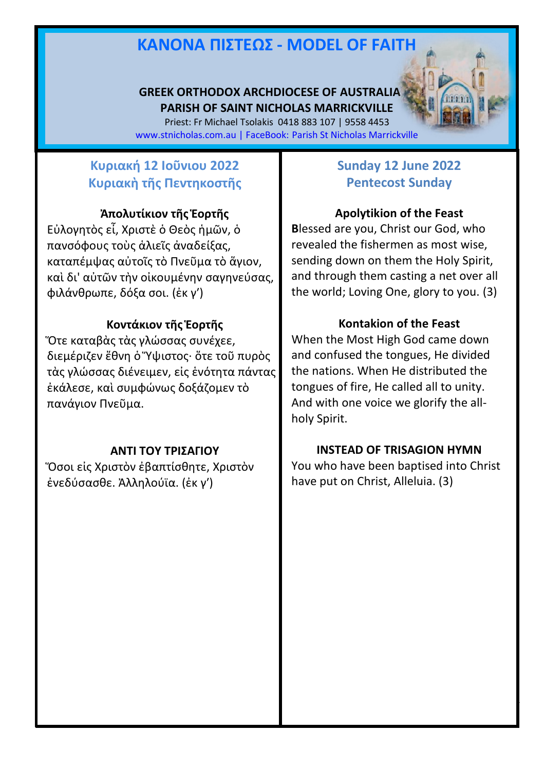# **ΚΑΝOΝΑ ΠIΣΤΕΩΣ - MODEL OF FAITH**

#### **GREEK ORTHODOX ARCHDIOCESE OF AUSTRALIA PARISH OF SAINT NICHOLAS MARRICKVILLE**

Priest: Fr Michael Tsolakis 0418 883 107 | 9558 4453 [www.stnicholas.com.au](http://www.stnicholas.com.au/) | FaceBook: Parish St Nicholas Marrickville

# **Κυριακή 12 Ioῦνιου 2022 Κυριακὴ τῆς Πεντηκοστῆς**

#### **Ἀπολυτίκιον τῆς Ἑορτῆς**

Εὐλογητὸς εἶ, Χριστὲ ὁ Θεὸς ἡμῶν, ὁ πανσόφους τοὺς ἁλιεῖς ἀναδείξας, καταπέμψας αὐτοῖς τὸ Πνεῦμα τὸ ἅγιον, καὶ δι' αὐτῶν τὴν οἰκουμένην σαγηνεύσας, φιλάνθρωπε, δόξα σοι. (ἐκ γʹ)

#### **Κοντάκιον τῆς Ἑορτῆς**

Ὅτε καταβὰς τὰς γλώσσας συνέχεε, διεμέριζεν ἔθνη ὁ Ὕψιστος· ὅτε τοῦ πυρὸς τὰς γλώσσας διένειμεν, εἰς ἑνότητα πάντας ἐκάλεσε, καὶ συμφώνως δοξάζομεν τὸ πανάγιον Πνεῦμα.

#### **ΑΝΤΙ ΤΟΥ ΤΡΙΣΑΓΙΟΥ**

Ὅσοι εἰς Χριστὸν ἐβαπτίσθητε, Χριστὸν ἐνεδύσασθε. Ἀλληλούϊα. (ἐκ γʹ)

# **Sunday 12 June 2022 Pentecost Sunday**

#### **Apolytikion of the Feast**

**B**lessed are you, Christ our God, who revealed the fishermen as most wise, sending down on them the Holy Spirit, and through them casting a net over all the world; Loving One, glory to you. (3)

#### **Kontakion of the Feast**

When the Most High God came down and confused the tongues, He divided the nations. When He distributed the tongues of fire, He called all to unity. And with one voice we glorify the allholy Spirit.

#### **INSTEAD OF TRISAGION HYMN**

You who have been baptised into Christ have put on Christ, Alleluia. (3)

1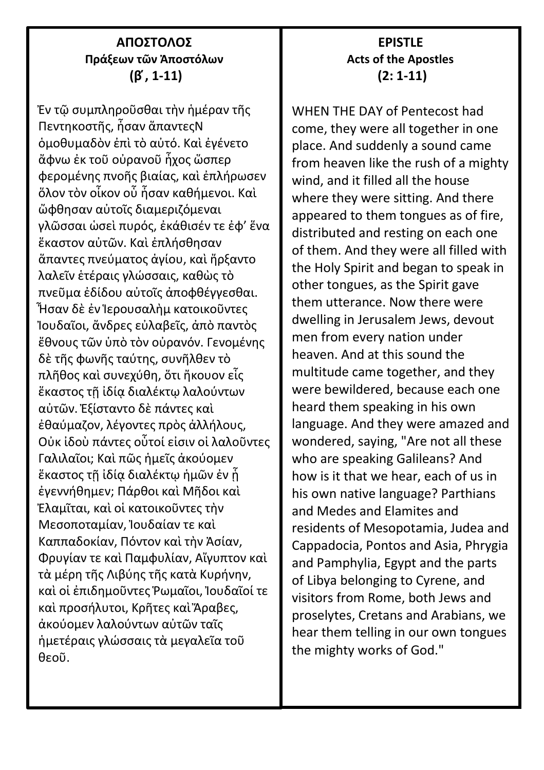# **ΑΠΟΣΤΟΛΟΣ Πράξεων τῶν Ἀποστόλων (β ́, 1-11)**

Ἐν τῷ συμπληροῦσθαι τὴν ἡμέραν τῆς Πεντηκοστῆς, ἦσαν ἅπαντεςN ὁμοθυμαδὸν ἐπὶ τὸ αὐτό. Καὶ ἐγένετο ἄφνω ἐκ τοῦ οὐρανοῦ ἦχος ὥσπερ φερομένης πνοῆς βιαίας, καὶ ἐπλήρωσεν ὅλον τὸν οἶκον οὗ ἦσαν καθήμενοι. Καὶ ὤφθησαν αὐτοῖς διαμεριζόμεναι γλῶσσαι ὡσεὶ πυρός, ἐκάθισέν τε ἐφ' ἕνα ἕκαστον αὐτῶν. Καὶ ἐπλήσθησαν ἅπαντες πνεύματος ἁγίου, καὶ ἤρξαντο λαλεῖν ἑτέραις γλώσσαις, καθὼς τὸ πνεῦμα ἐδίδου αὐτοῖς ἀποφθέγγεσθαι. Ἦσαν δὲ ἐν Ἱερουσαλὴμ κατοικοῦντες Ἰουδαῖοι, ἄνδρες εὐλαβεῖς, ἀπὸ παντὸς ἔθνους τῶν ὑπὸ τὸν οὐρανόν. Γενομένης δὲ τῆς φωνῆς ταύτης, συνῆλθεν τὸ πλῆθος καὶ συνεχύθη, ὅτι ἤκουον εἷς ἕκαστος τῇ ἰδίᾳ διαλέκτῳ λαλούντων αὐτῶν. Ἐξίσταντο δὲ πάντες καὶ ἐθαύμαζον, λέγοντες πρὸς ἀλλήλους, Οὐκ ἰδοὺ πάντες οὗτοί εἰσιν οἱ λαλοῦντες Γαλιλαῖοι; Καὶ πῶς ἡμεῖς ἀκούομεν ἕκαστος τῆ ἰδία διαλέκτω ἡμῶν ἐν ἧ ἐγεννήθημεν; Πάρθοι καὶ Μῆδοι καὶ Ἐλαμῖται, καὶ οἱ κατοικοῦντες τὴν Μεσοποταμίαν, Ἰουδαίαν τε καὶ Καππαδοκίαν, Πόντον καὶ τὴν Ἀσίαν, Φρυγίαν τε καὶ Παμφυλίαν, Αἴγυπτον καὶ τὰ μέρη τῆς Λιβύης τῆς κατὰ Κυρήνην, καὶ οἱ ἐπιδημοῦντες Ῥωμαῖοι, Ἰουδαῖοί τε καὶ προσήλυτοι, Κρῆτες καὶ Ἄραβες, ἀκούομεν λαλούντων αὐτῶν ταῖς ἡμετέραις γλώσσαις τὰ μεγαλεῖα τοῦ θεοῦ.

# **EPISTLE Acts of the Apostles (2: 1-11)**

WHEN THE DAY of Pentecost had come, they were all together in one place. And suddenly a sound came from heaven like the rush of a mighty wind, and it filled all the house where they were sitting. And there appeared to them tongues as of fire, distributed and resting on each one of them. And they were all filled with the Holy Spirit and began to speak in other tongues, as the Spirit gave them utterance. Now there were dwelling in Jerusalem Jews, devout men from every nation under heaven. And at this sound the multitude came together, and they were bewildered, because each one heard them speaking in his own language. And they were amazed and wondered, saying, "Are not all these who are speaking Galileans? And how is it that we hear, each of us in his own native language? Parthians and Medes and Elamites and residents of Mesopotamia, Judea and Cappadocia, Pontos and Asia, Phrygia and Pamphylia, Egypt and the parts of Libya belonging to Cyrene, and visitors from Rome, both Jews and proselytes, Cretans and Arabians, we hear them telling in our own tongues the mighty works of God."

2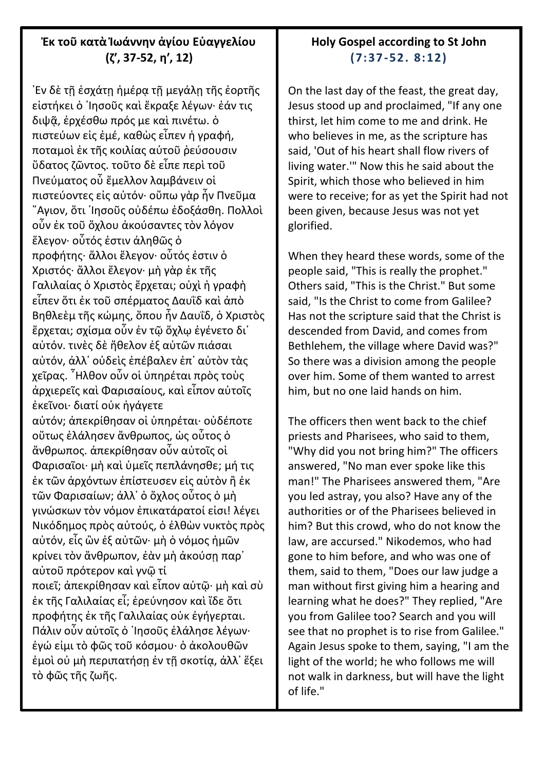### **Ἐκ τοῦ κατὰ Ἰωάννην ἁγίου Εὐαγγελίου (ζʹ, 37-52, ηʹ, 12)**

᾿Εν δὲ τῇ ἐσχάτῃ ἡμέρᾳ τῇ μεγάλῃ τῆς ἑορτῆς εἱστήκει ὁ ᾿Ιησοῦς καὶ ἔκραξε λέγων· ἐάν τις διψᾷ, ἐρχέσθω πρός με καὶ πινέτω. ὁ πιστεύων εἰς ἐμέ, καθὼς εἶπεν ἡ γραφή, ποταμοὶ ἐκ τῆς κοιλίας αὐτοῦ ῥεύσουσιν ὕδατος ζῶντος. τοῦτο δὲ εἶπε περὶ τοῦ Πνεύματος οὗ ἔμελλον λαμβάνειν οἱ πιστεύοντες εἰς αὐτόν· οὔπω γὰρ ἦν Πνεῦμα ῞Αγιον, ὅτι ᾿Ιησοῦς οὐδέπω ἐδοξάσθη. Πολλοὶ οὖν ἐκ τοῦ ὄχλου ἀκούσαντες τὸν λόγον ἔλεγον· οὗτός ἐστιν ἀληθῶς ὁ προφήτης· ἄλλοι ἔλεγον· οὗτός ἐστιν ὁ Χριστός· ἄλλοι ἔλεγον· μὴ γὰρ ἐκ τῆς Γαλιλαίας ὁ Χριστὸς ἔρχεται; οὐχὶ ἡ γραφὴ εἶπεν ὅτι ἐκ τοῦ σπέρματος Δαυῒδ καὶ ἀπὸ Βηθλεὲμ τῆς κώμης, ὅπου ἦν Δαυΐδ, ὁ Χριστὸς ἔρχεται; σχίσμα οὖν ἐν τῷ ὄχλῳ ἐγένετο δι᾽ αὐτόν. τινὲς δὲ ἤθελον ἐξ αὐτῶν πιάσαι αὐτόν, ἀλλ᾽ οὐδεὶς ἐπέβαλεν ἐπ᾽ αὐτὸν τὰς χεῖρας. ῏Ηλθον οὖν οἱ ὑπηρέται πρὸς τοὺς ἀρχιερεῖς καὶ Φαρισαίους, καὶ εἶπον αὐτοῖς ἐκεῖνοι· διατί οὐκ ἠγάγετε αὐτόν; ἀπεκρίθησαν οἱ ὑπηρέται· οὐδέποτε οὕτως ἐλάλησεν ἄνθρωπος, ὡς οὗτος ὁ ἄνθρωπος. ἀπεκρίθησαν οὖν αὐτοῖς οἱ Φαρισαῖοι· μὴ καὶ ὑμεῖς πεπλάνησθε; μή τις ἐκ τῶν ἀρχόντων ἐπίστευσεν εἰς αὐτὸν ἢ ἐκ τῶν Φαρισαίων; ἀλλ᾽ ὁ ὄχλος οὗτος ὁ μὴ γινώσκων τὸν νόμον ἐπικατάρατοί εἰσι! λέγει Νικόδημος πρὸς αὐτούς, ὁ ἐλθὼν νυκτὸς πρὸς αὐτόν, εἷς ὢν ἐξ αὐτῶν· μὴ ὁ νόμος ἡμῶν κρίνει τὸν ἄνθρωπον, ἐὰν μὴ ἀκούση παρ' αὐτοῦ πρότερον καὶ γνῷ τί ποιεῖ; ἀπεκρίθησαν καὶ εἶπον αὐτῷ· μὴ καὶ σὺ ἐκ τῆς Γαλιλαίας εἶ; ἐρεύνησον καὶ ἴδε ὅτι προφήτης ἐκ τῆς Γαλιλαίας οὐκ ἐγήγερται. Πάλιν οὖν αὐτοῖς ὁ ᾿Ιησοῦς ἐλάλησε λέγων· ἐγώ εἰμι τὸ φῶς τοῦ κόσμου· ὁ ἀκολουθῶν έμοὶ οὐ μὴ περιπατήση ἐν τῆ σκοτία, ἀλλ᾽ ἕξει τὸ φῶς τῆς ζωῆς.

### **Holy Gospel according to St John (7:37-52. 8:12)**

On the last day of the feast, the great day, Jesus stood up and proclaimed, "If any one thirst, let him come to me and drink. He who believes in me, as the scripture has said, 'Out of his heart shall flow rivers of living water.'" Now this he said about the Spirit, which those who believed in him were to receive; for as yet the Spirit had not been given, because Jesus was not yet glorified.

When they heard these words, some of the people said, "This is really the prophet." Others said, "This is the Christ." But some said, "Is the Christ to come from Galilee? Has not the scripture said that the Christ is descended from David, and comes from Bethlehem, the village where David was?" So there was a division among the people over him. Some of them wanted to arrest him, but no one laid hands on him.

The officers then went back to the chief priests and Pharisees, who said to them, "Why did you not bring him?" The officers answered, "No man ever spoke like this man!" The Pharisees answered them, "Are you led astray, you also? Have any of the authorities or of the Pharisees believed in him? But this crowd, who do not know the law, are accursed." Nikodemos, who had gone to him before, and who was one of them, said to them, "Does our law judge a man without first giving him a hearing and learning what he does?" They replied, "Are you from Galilee too? Search and you will see that no prophet is to rise from Galilee." Again Jesus spoke to them, saying, "I am the light of the world; he who follows me will not walk in darkness, but will have the light of life."

3